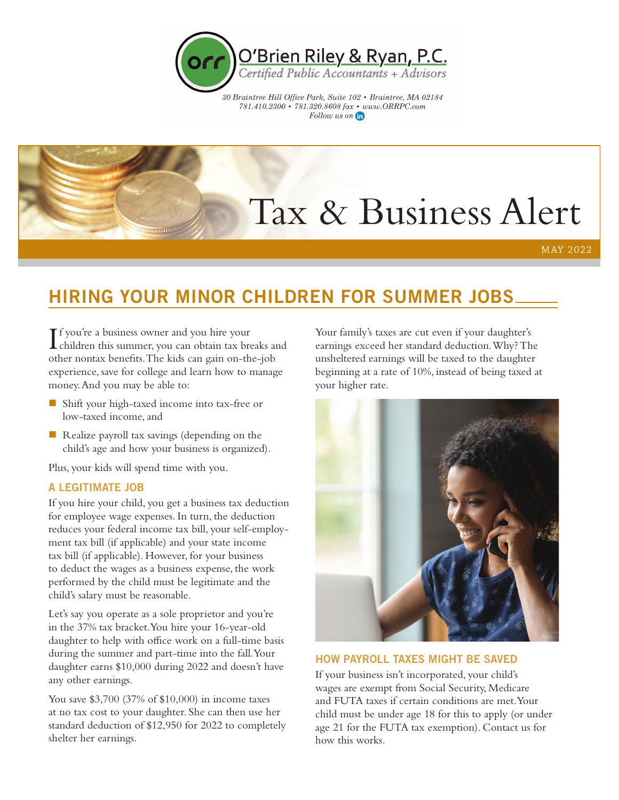

30 Braintree Hill Office Park, Suite 102 • Braintree, MA 02184  $781.410.2300\,\textcolor{red}{}\bullet\,\textcolor{red}{781.320.8608}\, \textnormal{far}\,\textcolor{red}{}\bullet\,\textnormal{www.} \textnormal{OR} \textnormal{RPC.com}$ Follow us on the

# Tax & Business Alert

MAY 2022

# HIRING YOUR MINOR CHILDREN FOR SUMMER JOBS

I children this summer, you can obtain tax breaks and **T** f you're a business owner and you hire your other nontax benefits. The kids can gain on-the-job experience, save for college and learn how to manage money. And you may be able to:

- Shift your high-taxed income into tax-free or low-taxed income, and
- $\blacksquare$  Realize payroll tax savings (depending on the child's age and how your business is organized).

Plus, your kids will spend time with you.

# A LEGITIMATE JOB

If you hire your child, you get a business tax deduction for employee wage expenses. In turn, the deduction reduces your federal income tax bill, your self-employment tax bill (if applicable) and your state income tax bill (if applicable). However, for your business to deduct the wages as a business expense, the work performed by the child must be legitimate and the child's salary must be reasonable.

Let's say you operate as a sole proprietor and you're in the 37% tax bracket. You hire your 16-year-old daughter to help with office work on a full-time basis during the summer and part-time into the fall. Your daughter earns \$10,000 during 2022 and doesn't have any other earnings.

You save \$3,700 (37% of \$10,000) in income taxes at no tax cost to your daughter. She can then use her standard deduction of \$12,950 for 2022 to completely shelter her earnings.

Your family's taxes are cut even if your daughter's earnings exceed her standard deduction. Why? The unsheltered earnings will be taxed to the daughter beginning at a rate of 10%, instead of being taxed at your higher rate.



## HOW PAYROLL TAXES MIGHT BE SAVED

If your business isn't incorporated, your child's wages are exempt from Social Security, Medicare and FUTA taxes if certain conditions are met. Your child must be under age 18 for this to apply (or under age 21 for the FUTA tax exemption). Contact us for how this works.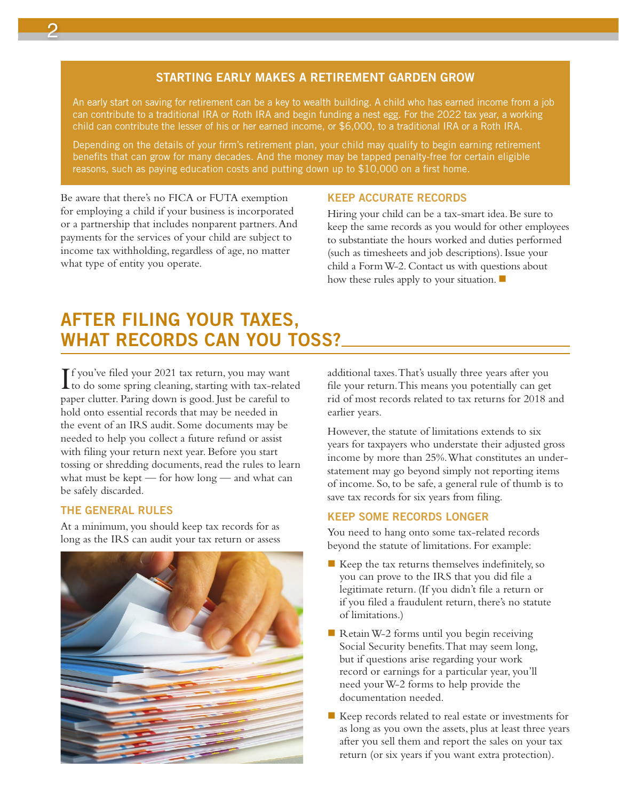# STARTING EARLY MAKES A RETIREMENT GARDEN GROW

An early start on saving for retirement can be a key to wealth building. A child who has earned income from a job can contribute to a traditional IRA or Roth IRA and begin funding a nest egg. For the 2022 tax year, a working child can contribute the lesser of his or her earned income, or \$6,000, to a traditional IRA or a Roth IRA.

Depending on the details of your firm's retirement plan, your child may qualify to begin earning retirement benefits that can grow for many decades. And the money may be tapped penalty-free for certain eligible reasons, such as paying education costs and putting down up to \$10,000 on a first home.

Be aware that there's no FICA or FUTA exemption for employing a child if your business is incorporated or a partnership that includes nonparent partners. And payments for the services of your child are subject to income tax withholding, regardless of age, no matter what type of entity you operate.

## KEEP ACCURATE RECORDS

Hiring your child can be a tax-smart idea. Be sure to keep the same records as you would for other employees to substantiate the hours worked and duties performed (such as timesheets and job descriptions). Issue your child a Form W-2. Contact us with questions about how these rules apply to your situation.  $\blacksquare$ 

# AFTER FILING YOUR TAXES, WHAT RECORDS CAN YOU TOSS?

If you've filed your 2021 tax return, you may want<br>to do some spring cleaning, starting with tax-related f you've filed your 2021 tax return, you may want paper clutter. Paring down is good. Just be careful to hold onto essential records that may be needed in the event of an IRS audit. Some documents may be needed to help you collect a future refund or assist with filing your return next year. Before you start tossing or shredding documents, read the rules to learn what must be kept — for how long — and what can be safely discarded.

# THE GENERAL RULES

At a minimum, you should keep tax records for as long as the IRS can audit your tax return or assess



additional taxes. That's usually three years after you file your return. This means you potentially can get rid of most records related to tax returns for 2018 and earlier years.

However, the statute of limitations extends to six years for taxpayers who understate their adjusted gross income by more than 25%. What constitutes an understatement may go beyond simply not reporting items of income. So, to be safe, a general rule of thumb is to save tax records for six years from filing.

# KEEP SOME RECORDS LONGER

You need to hang onto some tax-related records beyond the statute of limitations. For example:

- $\blacksquare$  Keep the tax returns themselves indefinitely, so you can prove to the IRS that you did file a legitimate return. (If you didn't file a return or if you filed a fraudulent return, there's no statute of limitations.)
- Retain W-2 forms until you begin receiving Social Security benefits. That may seem long, but if questions arise regarding your work record or earnings for a particular year, you'll need your W-2 forms to help provide the documentation needed.
- $\blacksquare$  Keep records related to real estate or investments for as long as you own the assets, plus at least three years after you sell them and report the sales on your tax return (or six years if you want extra protection).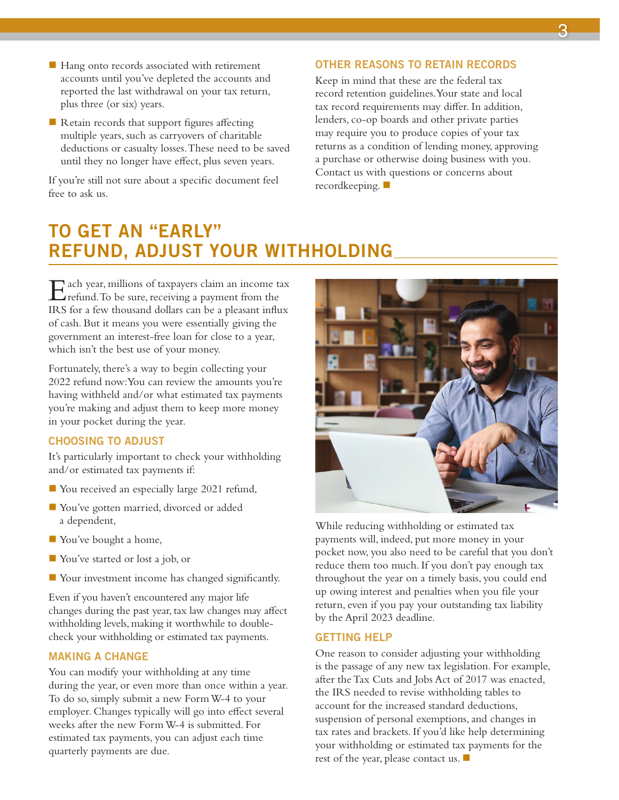- $\blacksquare$  Hang onto records associated with retirement accounts until you've depleted the accounts and reported the last withdrawal on your tax return, plus three (or six) years.
- $\blacksquare$  Retain records that support figures affecting multiple years, such as carryovers of charitable deductions or casualty losses. These need to be saved until they no longer have effect, plus seven years.

If you're still not sure about a specific document feel free to ask us.

#### OTHER REASONS TO RETAIN RECORDS

Keep in mind that these are the federal tax record retention guidelines. Your state and local tax record requirements may differ. In addition, lenders, co-op boards and other private parties may require you to produce copies of your tax returns as a condition of lending money, approving a purchase or otherwise doing business with you. Contact us with questions or concerns about recordkeeping.  $\blacksquare$ 

# TO GET AN "EARLY" REFUND, ADJUST YOUR WITHHOLDING

Each year, millions of taxpayers claim an income tax refund. To be sure, receiving a payment from the IRS for a few thousand dollars can be a pleasant influx of cash. But it means you were essentially giving the government an interest-free loan for close to a year, which isn't the best use of your money.

Fortunately, there's a way to begin collecting your 2022 refund now: You can review the amounts you're having withheld and/or what estimated tax payments you're making and adjust them to keep more money in your pocket during the year.

## CHOOSING TO ADJUST

It's particularly important to check your withholding and/or estimated tax payments if:

- You received an especially large 2021 refund,
- You've gotten married, divorced or added a dependent,
- **Nou**'ve bought a home,
- You've started or lost a job, or
- **Nour investment income has changed significantly.**

Even if you haven't encountered any major life changes during the past year, tax law changes may affect withholding levels, making it worthwhile to doublecheck your withholding or estimated tax payments.

## MAKING A CHANGE

You can modify your withholding at any time during the year, or even more than once within a year. To do so, simply submit a new Form W-4 to your employer. Changes typically will go into effect several weeks after the new Form W-4 is submitted. For estimated tax payments, you can adjust each time quarterly payments are due.



While reducing withholding or estimated tax payments will, indeed, put more money in your pocket now, you also need to be careful that you don't reduce them too much. If you don't pay enough tax throughout the year on a timely basis, you could end up owing interest and penalties when you file your return, even if you pay your outstanding tax liability by the April 2023 deadline.

#### GETTING HELP

One reason to consider adjusting your withholding is the passage of any new tax legislation. For example, after the Tax Cuts and Jobs Act of 2017 was enacted, the IRS needed to revise withholding tables to account for the increased standard deductions, suspension of personal exemptions, and changes in tax rates and brackets. If you'd like help determining your withholding or estimated tax payments for the rest of the year, please contact us.  $\blacksquare$